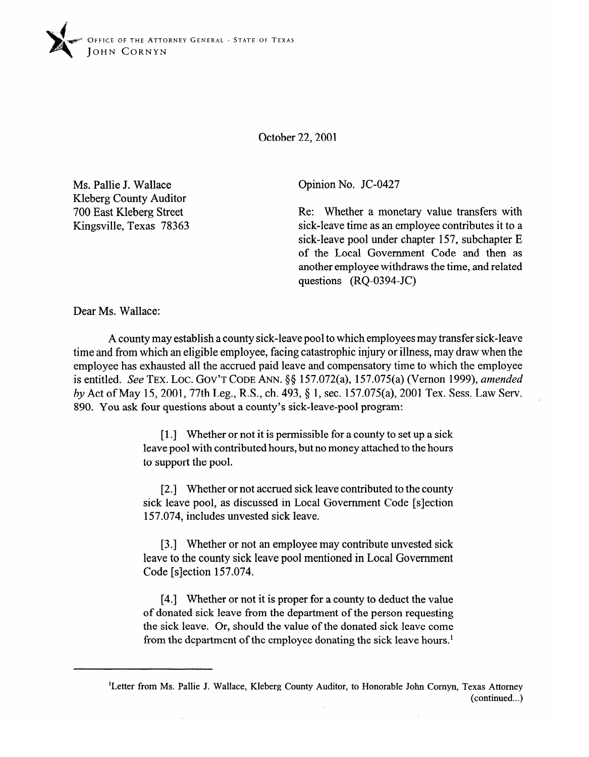

October 22,200l

Ms. Pallie J. Wallace Kleberg County Auditor 700 East Kleberg Street Kingsville, Texas 78363 Opinion No. JC-0427

Re: Whether a monetary value transfers with sick-leave time as an employee contributes it to a sick-leave pool under chapter 157, subchapter E of the Local Government Code and then as another employee withdraws the time, and related questions (RQ-0394-JC)

Dear Ms. Wallace:

A county may establish a county sick-leave pool to which employees may transfer sick-leave time and from which an eligible employee, facing catastrophic injury or illness, may draw when the employee has exhausted all the accrued paid leave and compensatory time to which the employee is entitled. See **TEX. LOC. GOV'T CODE** ANN. \$5 157.072(a), 157.075(a) (Vernon 1999), *amended by* Act of May 15, 2001, 77th Leg., R.S., ch. 493, § 1, sec. 157.075(a), 2001 Tex. Sess. Law Serv. 890. You ask four questions about a county's sick-leave-pool program:

> [1.] Whether or not it is permissible for a county to set up a sick leave pool with contributed hours, but no money attached to the hours to support the pool.

> [2.] Whether or not accrued sick leave contributed to the county sick leave pool, as discussed in Local Government Code [s]ection 157.074, includes unvested sick leave.

> [3.] Whether or not an employee may contribute unvested sick leave to the county sick leave pool mentioned in Local Government Code [slection 157.074.

> [4.] Whether or not it is proper for a county to deduct the value of donated sick leave from the department of the person requesting the sick leave. Or, should the value of the donated sick leave come from the department of the employee donating the sick leave hours.'

> > J.

<sup>&#</sup>x27;Letter from Ms. Pallie J. Wallace, Kleberg County Auditor, to Honorable John Cornyn, Texas Attorney (continued...)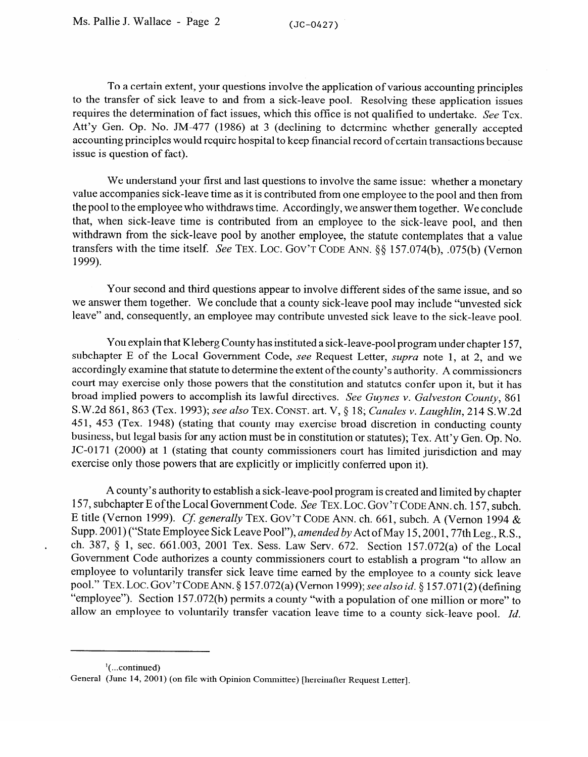To a certain extent, your questions involve the application of various accounting principles to the transfer of sick leave to and from a sick-leave pool. Resolving these application issues requires the determination of fact issues, which this office is not qualified to undertake. See Tex. Att'y Gen. Op. No. JM-477 (1986) at 3 (declining to determine whether generally accepted accounting principles would require hospital to keep financial record of certain transactions because issue is question of fact).

We understand your first and last questions to involve the same issue: whether a monetary value accompanies sick-leave time as it is contributed from one employee to the pool and then from the pool to the employee who withdraws time. Accordingly, we answer them together. We conclude that, when sick-leave time is contributed from an employee to the sick-leave pool, and then withdrawn from the sick-leave pool by another employee, the statute contemplates that a value transfers with the time itself. See TEX. LOC. GOV'T CODE ANN. §§ 157.074(b), .075(b) (Vernon 1999).

Your second and third questions appear to involve different sides of the same issue, and so we answer them together. We conclude that a county sick-leave pool may include "unvested sick" leave" and, consequently, an employee may contribute unvested sick leave to the sick-leave pool.

You explain that Kleberg County has instituted a sick-leave-pool program under chapter 157, subchapter E of the Local Government Code, see Request Letter, supra note 1, at 2, and we accordingly examine that statute to determine the extent of the county's authority. A commissioners court may exercise only those powers that the constitution and statutes confer upon it, but it has broad implied powers to accomplish its lawful directives. See Guynes v. Galveston County, 861 8.W.2d 861, 863 (Tex. 1993); see also TEX. CONST. art. V, § 18; Canales v. Laughlin, 214 S.W.2d 451, 453 (Tex. 1948) (stating that county may exercise broad discretion in conducting county business, but legal basis for any action must be in constitution or statutes); Tex. Att'y Gen. Op. No. JC-0171 (2000) at 1 (stating that county commissioners court has limited jurisdiction and may exercise only those powers that are explicitly or implicitly conferred upon it).  $\mathbf{r}$  only those powers that are explicitly conferred upon it).

A county's authority to establish a sick-leave-pool program is created and limited by chapter 157, subchapter E of the Local Government Code. See TEX. LOC. GOV'T CODE ANN. ch. 157, subch. E title (Vernon 1999). Cf. generally TEX. GOV'T CODE ANN. ch. 661, subch. A (Vernon 1994 & Supp. 2001) ("State Employee Sick Leave Pool"), amended by Act of May 15, 2001, 77th Leg., R.S., ch. 387, § 1, sec. 661.003, 2001 Tex. Sess. Law Serv. 672. Section 157.072(a) of the Local Government Code authorizes a county commissioners court to establish a program "to allow an employee to voluntarily transfer sick leave time earned by the employee to a county sick leave pool." TEX. LOC. GOV'T CODE ANN. § 157.072(a) (Vernon 1999); see also id. § 157.071(2) (defining "employee"). Section 157.072(b) permits a county "with a population of one million or more" to allow an employee to voluntarily transfer vacation leave time to a county sick-leave pool.  $Id$ .

allow an employee to voluntarily transfer vacation leave time to a county sick-leave pool. *Id.* 

 $\frac{1}{2}$ (...continued)

 $\overline{a}$ 

General (June 14, 2001) (on file with Opinion Committee) [hereinafter Request Letter].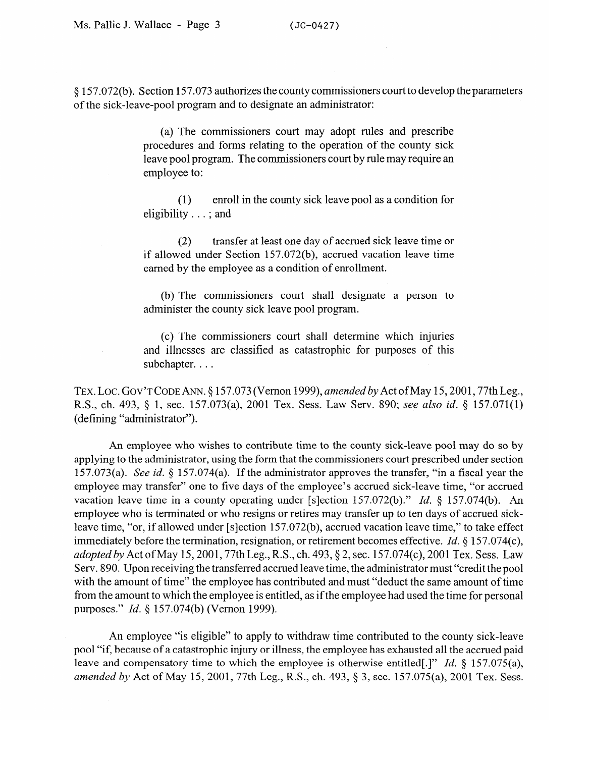8 157.072(b). Section 157.073 authorizes the county commissioners court to develop the parameters of the sick-leave-pool program and to designate an administrator:

> (a) The commissioners court may adopt rules and prescribe procedures and forms relating to the operation of the county sick leave pool program. The commissioners court by rule may require an employee to:

> (1) enroll in the county sick leave pool as a condition for eligibility . . . ; and

> (2) transfer at least one day of accrued sick leave time or if allowed under Section 157.072(b), accrued vacation leave time earned by the employee as a condition of enrollment.

> (b) The commissioners court shall designate a person to administer the county sick leave pool program.

> (c) The commissioners court shall determine which injuries and illnesses are classified as catastrophic for purposes of this subchapter. . . .

TEX. LOC. GOV'TCODEANN. 5 157.073 (Vernon *1999), amended by* Act ofMay 15,2001,77th Leg., R.S., ch. 493, 5 1, sec. 157.073(a), 2001 Tex. Sess. Law Serv. 890; see *also id.* 8 157.071(l) (defining "administrator").

An employee who wishes to contribute time to the county sick-leave pool may do so by applying to the administrator, using the form that the commissioners court prescribed under section 157.073(a). See *id.* 5 157.074(a). If the administrator approves the transfer, "in a fiscal year the employee may transfer" one to five days of the employee's accrued sick-leave time, "or accrued vacation leave time in a county operating under [s]ection 157.072(b)." *Id.* § 157.074(b). An employee who is terminated or who resigns or retires may transfer up to ten days of accrued sickleave time, "or, if allowed under [s]ection 157.072(b), accrued vacation leave time," to take effect immediately before the termination, resignation, or retirement becomes effective. *Id.* § 157.074(c), *adopted by* Act of May 15, 2001, 77th Leg., R.S., ch. 493, § 2, sec. 157.074(c), 2001 Tex. Sess. Law Serv. 890. Upon receiving the transferred accrued leave time, the administrator must "credit the pool with the amount of time" the employee has contributed and must "deduct the same amount of time from the amount to which the employee is entitled, as if the employee had used the time for personal purposes." *Id.* 5 157.074(b) (Vernon 1999).

An employee "is eligible" to apply to withdraw time contributed to the county sick-leave pool "if, because of a catastrophic injury or illness, the employee has exhausted all the accrued paid leave and compensatory time to which the employee is otherwise entitled[.]" *Id. 5* 157.075(a), *amended by* Act of May 15, 2001, 77th Leg., R.S., ch. 493, 9 3, sec. 157.075(a), 2001 Tex. Sess.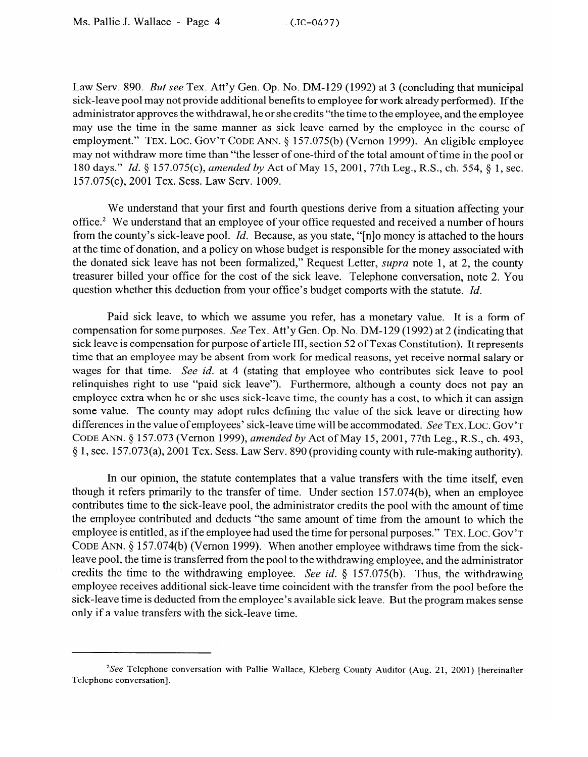Law Serv. 890. *But* see Tex. Att'y Gen. Op. No. DM-129 (1992) at 3 (concluding that municipal sick-leave pool may not provide additional benefits to employee for work already performed). If the administrator approves the withdrawal, he or she credits "the time to the employee, and the employee may use the time in the same manner as sick leave earned by the employee in the course of employment." TEX. LOC. GOV'T CODE ANN. § 157.075(b) (Vernon 1999). An eligible employee may not withdraw more time than "the lesser of one-third of the total amount of time in the pool or 180 days." *Id. 5* 157.075(c), *amended by* Act of May 15,2001, 77th Leg., R.S., ch. 554, 5 1, sec. 157.075(c), 2001 Tex. Sess. Law Serv. 1009.

We understand that your first and fourth questions derive from a situation affecting your office.<sup>2</sup> We understand that an employee of your office requested and received a number of hours from the county's sick-leave pool. *Id.* Because, as you state, "[n]o money is attached to the hours at the time of donation, and a policy on whose budget is responsible for the money associated with the donated sick leave has not been formalized," Request Letter, *supra* note 1, at 2, the county treasurer billed your office for the cost of the sick leave. Telephone conversation, note 2. You question whether this deduction from your office's budget comports with the statute. *Id.* 

Paid sick leave, to which we assume you refer, has a monetary value. It is a form of compensation for some purposes. See Tex. Att'y Gen. Op. No. DM-129 (1992) at 2 (indicating that sick leave is compensation for purpose of article III, section 52 of Texas Constitution). It represents time that an employee may be absent from work for medical reasons, yet receive normal salary or wages for that time. See id. at 4 (stating that employee who contributes sick leave to pool relinquishes right to use "paid sick leave"). Furthermore, although a county does not pay an employee extra when he or she uses sick-leave time, the county has a cost, to which it can assign some value. The county may adopt rules defining the value of the sick leave or directing how differences in the value of employees' sick-leave time will be accommodated. See TEX, LOC, GOV'T CODE ANN. § 157.073 (Vernon 1999), amended by Act of May 15, 2001, 77th Leg., R.S., ch. 493, § 1, sec. 157.073(a), 2001 Tex. Sess. Law Serv. 890 (providing county with rule-making authority).  $\frac{1}{\sqrt{2}}$ 

In our opinion, the statute contemplates that a value transfers with the time itself, even though it refers primarily to the transfer of time. Under section 157.074(b), when an employee contributes time to the sick-leave pool, the administrator credits the pool with the amount of time. the employee contributed and deducts "the same amount of time from the amount to which the employee is entitled, as if the employee had used the time for personal purposes." TEX. LOC. GOV'T CODE ANN. § 157.074(b) (Vernon 1999). When another employee withdraws time from the sickleave pool, the time is transferred from the pool to the withdrawing employee, and the administrator credits the time to the withdrawing employee. See id.  $\S$  157.075(b). Thus, the withdrawing employee receives additional sick-leave time coincident with the transfer from the pool before the sick-leave time is deducted from the employee's available sick leave. But the program makes sense only if a value transfers with the sick-leave time.

<sup>&</sup>lt;sup>2</sup>See Telephone conversation with Pallie Wallace, Kleberg County Auditor (Aug. 21, 2001) [hereinafter Telephone conversation].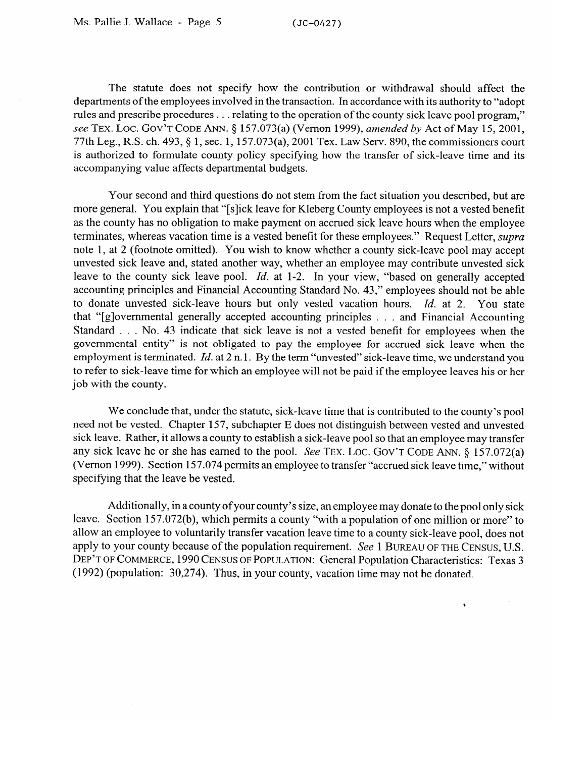The statute does not specify how the contribution or withdrawal should affect the departments of the employees involved in the transaction. In accordance with its authority to "adopt rules and prescribe procedures . . . relating to the operation of the county sick leave pool program," see TEX. LOC. GOV'T CODE ANN. § 157.073(a) (Vernon 1999), amended by Act of May 15, 2001, 77th Leg., R.S. ch. 493, 9 1, sec. 1,157.073(a), 2001 Tex. Law Serv. 890, the commissioners court is authorized to formulate county policy specifying how the transfer of sick-leave time and its accompanying value affects departmental budgets.

Your second and third questions do not stem from the fact situation you described, but are more general. You explain that "[slick leave for Kleberg County employees is not a vested benefit as the county has no obligation to make payment on accrued sick leave hours when the employee terminates, whereas vacation time is a vested benefit for these employees." Request Letter, *supra*  note 1, at 2 (footnote omitted). You wish to know whether a county sick-leave pool may accept unvested sick leave and, stated another way, whether an employee may contribute unvested sick leave to the county sick leave pool. *Id.* at 1-2. In your view, "based on generally accepted accounting principles and Financial Accounting Standard No. 43," employees should not be able<br>to donate unvested sick-leave hours but only vested vacation hours. *Id.* at 2. You state that "[g]overnmental generally accepted accounting principles . . . and Financial Accounting Standard . . . No. 43 indicate that sick leave is not a vested benefit for employees when the governmental entity" is not obligated to pay the employee for accrued sick leave when the employment is terminated.  $Id$  at  $2$  n.1. By the term "unvested" sick-leave time, we understand you employment is terminated. *Id.* at 2 n. 1. By the term "unvested" sick-leave time, we understand you to refer to sien four employer which an employee will not be paid if the employee leaves his or her job with the county.

We conclude that, under the statute, sick-leave time that is contributed to the county's pool need not be vested. Chapter 157, subchapter E does not distinguish between vested and unvested sick leave. Rather, it allows a county to establish a sick-leave pool so that an employee may transfer any sick leave he or she has earned to the pool. See TEX. LOC. GOV'T CODE ANN.  $\S$  157.072(a) (Vernon 1999). Section 157.074 permits an employee to transfer "accrued sick leave time," without specifying that the leave be vested.  $\frac{1}{\sqrt{2}}$  that the leave be vested.

Additionally, in a county of your county's size, an employee may donate to the pool only sick<br>leave. Section 157.072(b), which permits a county "with a population of one million or more" to allow an employee to voluntarily transfer vacation leave time to a county sick-leave pool, does not apply to your county because of the population requirement. See 1 BUREAU OF THE CENSUS, U.S. DEP'T OF COMMERCE, 1990 CENSUS OF POPULATION: General Population Characteristics: Texas 3 (1992) (population: 30,274). Thus, in your county, vacation time may not be donated.

 $\bullet$